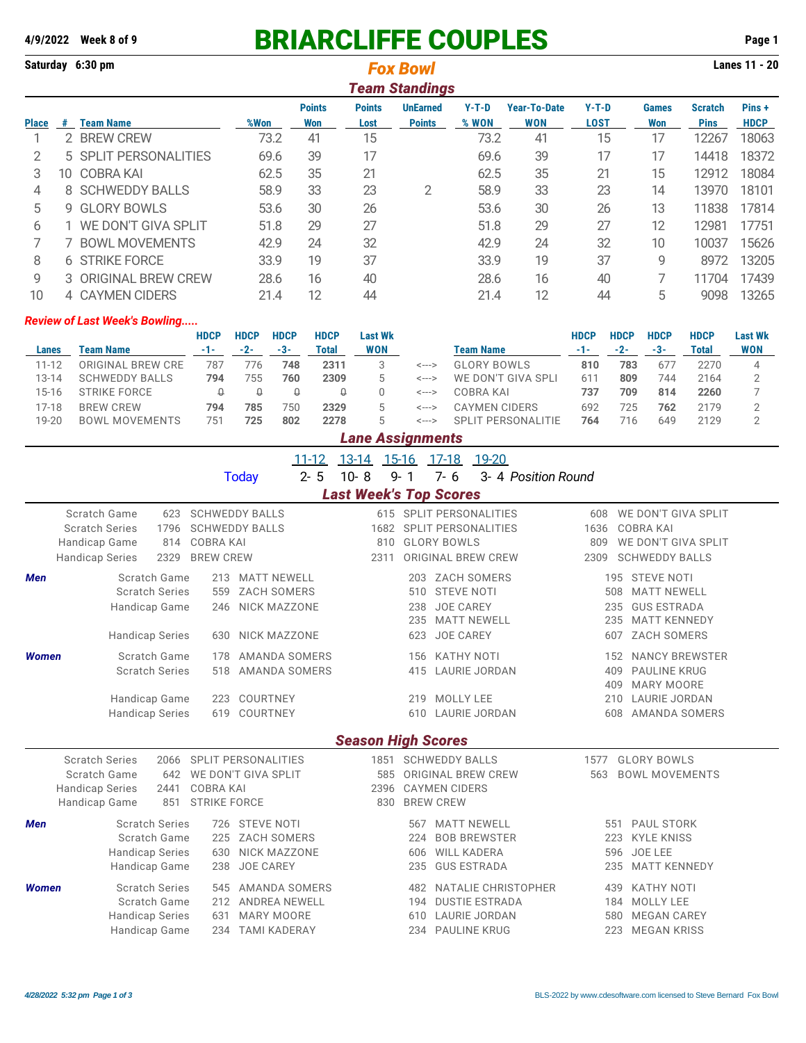## **4/9/2022 Week 8 of 9** BRIARCLIFFE COUPLES **Page 1**

**Saturday 6:30 pm Lanes 11 - 20** *Fox Bowl*

|              | <b>Team Standings</b> |                       |      |                      |                       |                                  |                  |                            |                        |                     |                               |                       |  |
|--------------|-----------------------|-----------------------|------|----------------------|-----------------------|----------------------------------|------------------|----------------------------|------------------------|---------------------|-------------------------------|-----------------------|--|
| <b>Place</b> | #                     | Team Name             | %Won | <b>Points</b><br>Won | <b>Points</b><br>Lost | <b>UnEarned</b><br><b>Points</b> | $Y-T-D$<br>% WON | Year-To-Date<br><b>WON</b> | $Y-T-D$<br><b>LOST</b> | <b>Games</b><br>Won | <b>Scratch</b><br><b>Pins</b> | Pins +<br><b>HDCP</b> |  |
|              | 2.                    | <b>BREW CREW</b>      | 73.2 | 41                   | 15                    |                                  | 73.2             | 41                         | 15                     |                     | 12267                         | 18063                 |  |
| 2            |                       | 5 SPLIT PERSONALITIES | 69.6 | 39                   | 17                    |                                  | 69.6             | 39                         | 17                     | 17                  | 14418                         | 18372                 |  |
| 3            | 10.                   | <b>COBRA KAI</b>      | 62.5 | 35                   | 21                    |                                  | 62.5             | 35                         | 21                     | 15                  | 12912                         | 18084                 |  |
| 4            | 8.                    | <b>SCHWEDDY BALLS</b> | 58.9 | 33                   | 23                    | 2                                | 58.9             | 33                         | 23                     | 14                  | 13970                         | 18101                 |  |
| 5            | g                     | <b>GLORY BOWLS</b>    | 53.6 | 30                   | 26                    |                                  | 53.6             | 30                         | 26                     | 13                  | 11838                         | 17814                 |  |
| 6            |                       | WE DON'T GIVA SPLIT   | 51.8 | 29                   | 27                    |                                  | 51.8             | 29                         | 27                     | 12                  | 12981                         | 17751                 |  |
|              |                       | <b>BOWL MOVEMENTS</b> | 42.9 | 24                   | 32                    |                                  | 42.9             | 24                         | 32                     | 10                  | 10037                         | 15626                 |  |
| 8            |                       | <b>6 STRIKE FORCE</b> | 33.9 | 19                   | 37                    |                                  | 33.9             | 19                         | 37                     | 9                   | 8972                          | 13205                 |  |
| 9            |                       | 3 ORIGINAL BREW CREW  | 28.6 | 16                   | 40                    |                                  | 28.6             | 16                         | 40                     |                     | 11704                         | 17439                 |  |
| 10           |                       | 4 CAYMEN CIDERS       | 21.4 | 12                   | 44                    |                                  | 21.4             | 12                         | 44                     | 5                   | 9098                          | 13265                 |  |

## *Review of Last Week's Bowling.....*

| <b>HDCP</b>       | <b>HDCP</b> | <b>HDCP</b> | <b>HDCP</b> | <b>Last Wk</b> |       |                        | HDCP | <b>HDCP</b> | <b>HDCP</b> | <b>HDCP</b> | <b>Last Wk</b> |
|-------------------|-------------|-------------|-------------|----------------|-------|------------------------|------|-------------|-------------|-------------|----------------|
| $-1-$             | $-2-$       | -3-         | Total       | WON            |       | Team Name              | -1-  | $-2-$       | -3-         | Total       | <b>WON</b>     |
| 787               | 76          | 748         | 2311        |                | <---> | <b>GLORY BOWLS</b>     | 810  | 783         | 67          | 2270        |                |
| 794               | 755         | 760         | 2309        | 5              | <---> | WE DON'T<br>GIVA SPI I | 61'  | 809         | 744         | 2164        |                |
|                   |             | U           |             |                | <---> | COBRA KAI              | 737  | 709         | 814         | 2260        |                |
| 794               | 785         | 750         | 2329        | 5.             | <---> | <b>CAYMEN CIDERS</b>   | 692  | 725         | 762         | 2179        |                |
| 751               | 725         | 802         | 2278        | 5.             | <---> | SPI IT PERSONAL ITIF   | 764  | 716         | 649         | 2129        |                |
| ORIGINAL BREW CRE |             |             |             |                |       |                        |      |             |             |             |                |

## *Lane Assignments*

|              |                                                                                                                | $11 - 12$<br>$2 - 5$<br><b>Today</b>                                                                          | $13 - 14$<br>15-16<br>$10 - 8$<br>$9 - 1$      | $17-18$<br>19-20<br>$7 - 6$<br>3- 4 Position Round                                                    |                                                                                                                                               |
|--------------|----------------------------------------------------------------------------------------------------------------|---------------------------------------------------------------------------------------------------------------|------------------------------------------------|-------------------------------------------------------------------------------------------------------|-----------------------------------------------------------------------------------------------------------------------------------------------|
|              |                                                                                                                |                                                                                                               | <b>Last Week's Top Scores</b>                  |                                                                                                       |                                                                                                                                               |
|              | Scratch Game<br>623<br><b>Scratch Series</b><br>1796<br>Handicap Game<br>814<br><b>Handicap Series</b><br>2329 | <b>SCHWEDDY BALLS</b><br><b>SCHWEDDY BALLS</b><br><b>COBRA KAI</b><br><b>BREW CREW</b>                        | 1682<br>810<br>2311                            | 615 SPLIT PERSONALITIES<br><b>SPLIT PERSONALITIES</b><br><b>GLORY BOWLS</b><br>ORIGINAL BREW CREW     | WE DON'T GIVA SPLIT<br>608<br><b>COBRA KAI</b><br>1636<br>WE DON'T GIVA SPLIT<br>809<br><b>SCHWEDDY BALLS</b><br>2309                         |
| <b>Men</b>   | Scratch Game<br><b>Scratch Series</b><br>Handicap Game<br><b>Handicap Series</b>                               | <b>MATT NEWELL</b><br>213<br>ZACH SOMERS<br>559<br>NICK MAZZONE<br>246<br><b>NICK MAZZONE</b><br>630          | 203<br>510<br>238<br>235<br>623                | <b>ZACH SOMERS</b><br><b>STEVE NOTI</b><br><b>JOE CAREY</b><br><b>MATT NEWELL</b><br><b>JOE CAREY</b> | <b>STEVE NOTI</b><br>195<br><b>MATT NEWELL</b><br>508<br><b>GUS ESTRADA</b><br>235<br><b>MATT KENNEDY</b><br>235<br><b>ZACH SOMERS</b><br>607 |
| <b>Women</b> | Scratch Game<br><b>Scratch Series</b><br>Handicap Game<br><b>Handicap Series</b>                               | AMANDA SOMERS<br>178<br>AMANDA SOMERS<br>518<br>COURTNEY<br>223<br>COURTNEY<br>619                            | 156<br>415<br>610                              | <b>KATHY NOTI</b><br>LAURIE JORDAN<br>219 MOLLY LEE<br><b>LAURIE JORDAN</b>                           | <b>NANCY BREWSTER</b><br>152<br><b>PAULINE KRUG</b><br>409<br><b>MARY MOORE</b><br>409<br>LAURIE JORDAN<br>210<br><b>AMANDA SOMERS</b><br>608 |
|              |                                                                                                                |                                                                                                               | <b>Season High Scores</b>                      |                                                                                                       |                                                                                                                                               |
|              | <b>Scratch Series</b><br>2066<br>Scratch Game<br>642<br><b>Handicap Series</b><br>2441<br>Handicap Game<br>851 | SPLIT PERSONALITIES<br>WE DON'T GIVA SPLIT<br><b>COBRA KAI</b><br><b>STRIKE FORCE</b>                         | 1851<br>585<br>2396<br><b>BREW CREW</b><br>830 | <b>SCHWEDDY BALLS</b><br>ORIGINAL BREW CREW<br><b>CAYMEN CIDERS</b>                                   | <b>GLORY BOWLS</b><br>1577<br><b>BOWL MOVEMENTS</b><br>563                                                                                    |
| <b>Men</b>   | <b>Scratch Series</b><br>Scratch Game<br><b>Handicap Series</b><br>Handicap Game                               | <b>STEVE NOTI</b><br>726<br><b>ZACH SOMERS</b><br>225<br>NICK MAZZONE<br>630<br>238<br><b>JOE CAREY</b>       | 567<br>224<br>606<br>235                       | <b>MATT NEWELL</b><br><b>BOB BREWSTER</b><br><b>WILL KADERA</b><br><b>GUS ESTRADA</b>                 | PAUL STORK<br>551<br><b>KYLE KNISS</b><br>223<br>JOE LEE<br>596<br><b>MATT KENNEDY</b><br>235                                                 |
| <b>Women</b> | <b>Scratch Series</b><br>Scratch Game<br><b>Handicap Series</b><br>Handicap Game                               | AMANDA SOMERS<br>545<br><b>ANDREA NEWELL</b><br>212<br><b>MARY MOORE</b><br>631<br>234<br><b>TAMI KADERAY</b> | 482<br>194<br>610<br>234                       | NATALIE CHRISTOPHER<br><b>DUSTIE ESTRADA</b><br>LAURIE JORDAN<br><b>PAULINE KRUG</b>                  | <b>KATHY NOTI</b><br>439<br><b>MOLLY LEE</b><br>184<br><b>MEGAN CAREY</b><br>580<br><b>MEGAN KRISS</b><br>223                                 |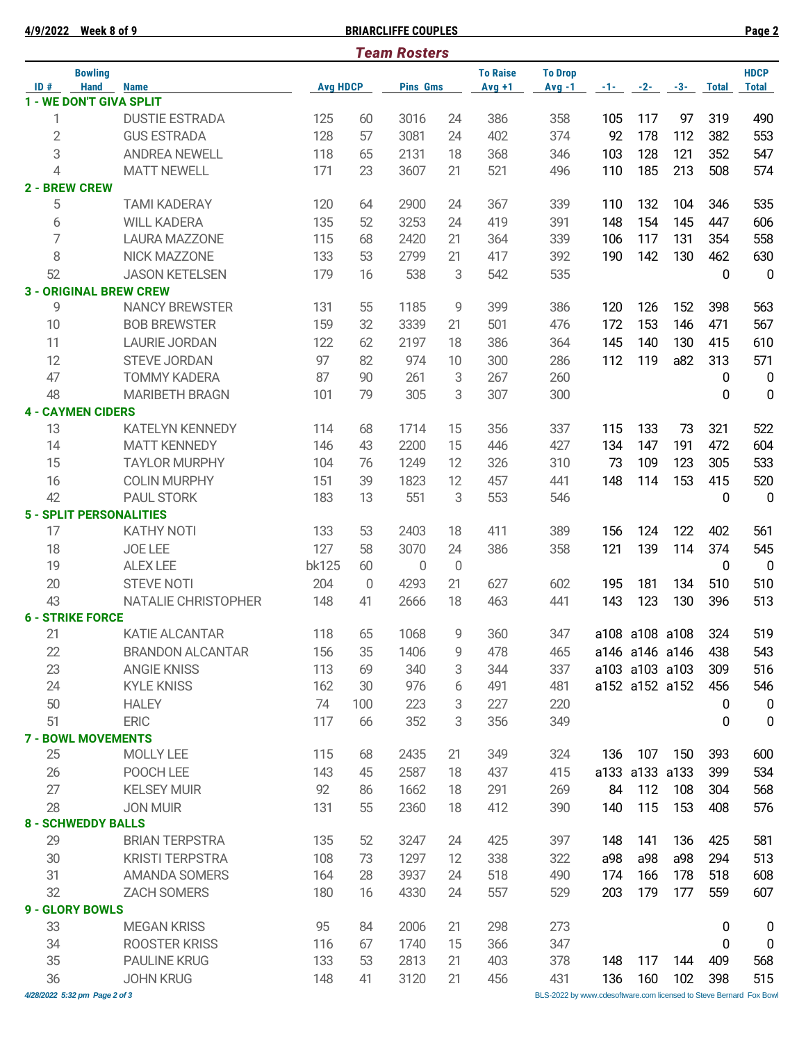*4/28/2022 5:32 pm Page 2 of 3* BLS-2022 by [www.cdesoftware.com l](www.cdesoftware.com)icensed to Steve Bernard Fox Bowl